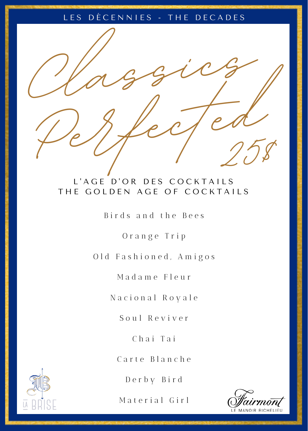### LES DÉCENNIES - THE DECADES



# L'AGE D'OR DES COCKTAILS THE GOLDEN AGE OF COCKTAILS

Birds and the Bees

O r a n g e T r i p

Old Fashioned, Amigos

M a d a m e F l e u r

N a c i o n a l R o y a l e

S o u l R e v i v e r

C h a i T a i

Carte Blanche

D e r b y B i r d

Material Girl



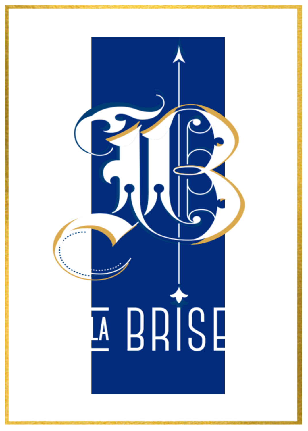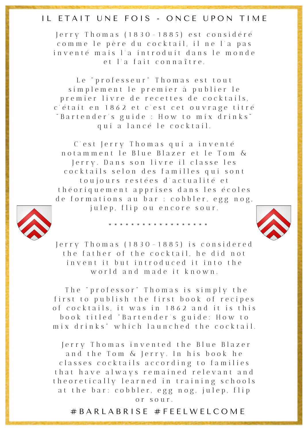# IL ETAIT UNE FOIS - ONCE UPON TIME

Jerry Thomas (1830-1885) est considéré comme le père du cocktail, il ne l'a pas inventé mais l'a introduit dans le monde et l'a fait connaître

Le "professeur" Thomas est tout simplement le premier à publier le premier livre de recettes de cocktails. c'était en 1862 et c'est cet ouvrage titré " Bartender's guide : How to mix drinks" qui a lancé le cocktail.

C' est Jerry Thomas qui a inventé n o t a m m e n t le Blue Blazer et le Tom & Jerry. Dans son livre il classe les cocktails selon des familles qui sont toujours restées d'actualité et théoriquement apprises dans les écoles de formations au bar : cobbler, egg nog,



julep, flip ou encore sour.

\* \* \* \* \* \* \* \* \* \* \* \* \* \* \* \* \* \*

Jerry Thomas (1830-1885) is considered the father of the cocktail, he did not in v e n t i t b u t in troduced it into the w orld and made it known

The "professor" Thomas is simply the first to publish the first book of recipes of cocktails, it was in 1862 and it is this book titled "Bartender's guide: How to mix drinks" which launched the cocktail.

Jerry Thomas invented the Blue Blazer and the Tom & Jerry. In his book he classes cocktails according to families that have always remained relevant and the or etically learned in training schools at the bar: cobbler, egg nog, julep, flip o r s o u r .

# B A R L A B R I S E # F E E L W E L C O M E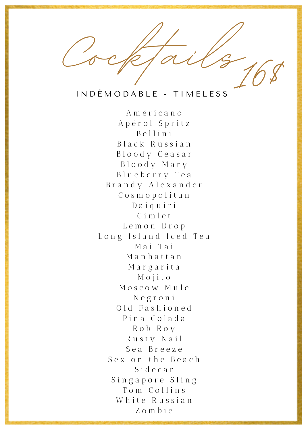Cocktails 10 **16\$**

### I N D É M O D A B L E - T I M E L E S S

A m é r i c a n o A p é r o l S p r i t z B e l l i n i B l a c k R u s s i a n B l o o d y C e a s a r B l o o d y M a r y B l u e b e r r y T e a B r a n d y A l e x a n d e r C o s m o p o l i t a n D a i q u i r i  $G$  i m  $I$  e t L e m o n D r o p L o n g I s l a n d I c e d T e a M a i T a i M a n h a t t a n M a r g a r i t a M o j i t o Moscow Mule N e g r o n i Old Fashioned P i ñ a C o l a d a R o b R o y Rusty Nail S e a B r e e z e Sex on the Beach S i d e c a r Singapore Sling Tom Collins White Russian Z o m b i e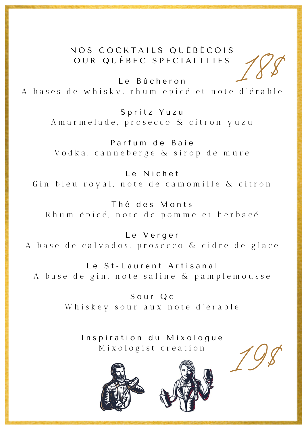# N O S COCK TAILS QUÉ BÉCOIS OUR QUÉBEC SPECIALITIES

Le Bûcheron A bases de whisky, rhum epicé et note d'érable **18\$**

Spritz Yuzu A m a r m e l a d e, p r o s e c c o & citron y u z u

Parfum de Baie V od k a, canne berge & sirop de mure

L e N i c h e t Gin bleu royal, note de camomille & citron

Thé des Monts Rhum épicé, note de pomme et herbacé

L e V e r g e r A base de calvados, prosecco & cidre de glace

Le St-Laurent Artisanal A base de gin, note saline & pamplemousse

> Sour Oc Whiskey sour aux note d'érable

Inspiration du Mixologue Mixologist creation





**19\$**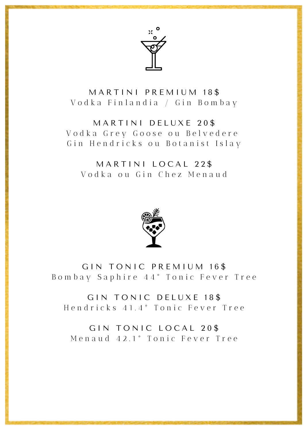

MARTINI PREMIUM 18\$ Vodka Finlandia / Gin Bombay

#### MARTINI DELUXE 20\$

Vodka Grey Goose ou Belvedere Gin Hendricks ou Botanist Islay

### MARTINI LOCAL 22\$ Vodka ou Gin Chez Menaud



GIN TONIC PREMIUM 16\$ Bombay Saphire 44° Tonic Fever Tree

GIN TONIC DELUXE 18\$ Hendricks 41.4° Tonic Fever Tree

GIN TONIC LOCAL 20\$ Menaud 42.1° Tonic Fever Tree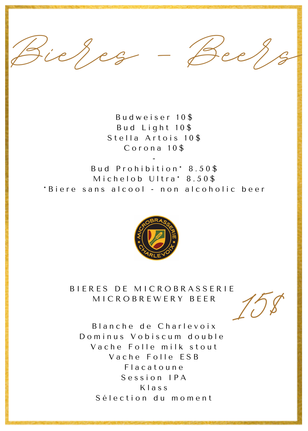Fieres - Bee

Budweiser 10\$ Bud Light 10\$ Stella Artois 10\$ Corona 10\$

Bud Prohibition\* 8.50\$ Michelob Ultra\* 8.50\$ \*Biere sans alcool - non alcoholic beer



BIERES DE MICROBRASSERIE MICROBREWERY BEER

Blanche de Charlevoix Dominus Vobiscum double Vache Folle milk stout Vache Folle FSB Flacatoune Session IPA Klass Sélection du moment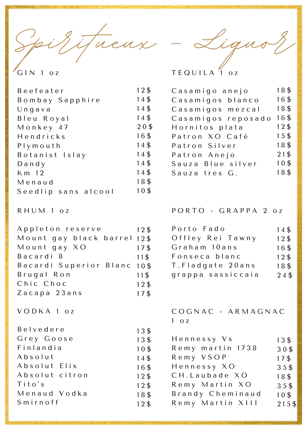pid itueux - Ligus

 $GIN 1 oz$ 

 $12\$ Beefeater 14\$ Bombay Sapphire 14\$  $U$  n q a v a Bleu Roval 14\$ Monkey 47 20\$ 16\$ Hendricks 14\$ Plymouth 14\$ Botanist Islay 14\$  $D$  and  $V$ K m 12 14\$ Menaud 18\$ Seedlip sans alcool 10\$

RHUM 1 oz

Appleton reserve 12\$ Mount gay black barrel 12\$ Mount gay XO  $17<sup>§</sup>$ Bacardi 8 11\$ Bacardi Superior Blanc 10\$ Brugal Ron  $11\text{$ Chic Choc  $12<sup>§</sup>$ Zacapa 23ans 17\$

13\$

13\$

 $10<sup>3</sup>$ 

 $14<sup>⁴</sup>$ 

16\$

 $12<sup>3</sup>$ 

 $12<sup>3</sup>$ 

18\$

 $12<sup>§</sup>$ 

 $V$  O D K A  $1$  o z

Belvedere Grey Goose Finlandia Absolut Absolut Elix Absolut citron  $Tito's$ Menaud Vodka  $S$  m i r n of f

**TFOULLA** 

| Casamigo anejo     | 18\$ |
|--------------------|------|
| Casamigos blanco   | 16\$ |
| Casamigos mezcal   | 18\$ |
| Casamigos reposado | 16\$ |
| Hornitos plata     | 12\$ |
| Patron XO Café     | 15\$ |
| Patron Silver      | 18\$ |
| Patron Anejo       | 21\$ |
| Sauza Blue silver  | 10\$ |
| Sauza tres G.      | 18\$ |
|                    |      |

PORTO - GRAPPA 2 oz

| Porto Fado        | 14\$            |
|-------------------|-----------------|
| Offley Rei Tawny  | 12 <sup>3</sup> |
| Graham 10ans      | 16\$            |
| Fonseca blanc     | 12\$            |
| T.Fladgate 20ans  | 18\$            |
| grappa sassiccaia | 24\$            |

 $COGNAC - ARMAGNAC$  $1 \quad 0 \quad Z$ 

| Hennessy Vs      | 13\$  |
|------------------|-------|
| Remy martin 1738 | 30\$  |
| Remy VSOP        | 17\$  |
| Hennessy XO      | 35\$  |
| CH.Laubade XO    | 18\$  |
| Remy Martin XO   | 35\$  |
| Brandy Cheminaud | 10\$  |
| Remy Martin XIII | 215\$ |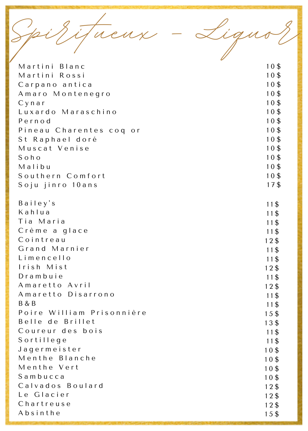Spirtueux - Lignor

| Martini Blanc             | 10\$            |
|---------------------------|-----------------|
| Martini Rossi             | 10\$            |
| Carpano antica            | 10\$            |
| Amaro Montenegro          | 10\$            |
| C y n a r                 | 10 <sup>3</sup> |
| Luxardo Maraschino        | $10\frac{3}{5}$ |
| Pernod                    | $10\frac{5}{9}$ |
| Pineau Charentes coq or   | 10\$            |
| St Raphael doré           | 10\$            |
| Muscat Venise             | $10\frac{5}{9}$ |
| $S$ o $h$ o               | 10 <sup>3</sup> |
| Malibu                    | 10\$            |
| Southern Comfort          | 10\$            |
| Soju jinro 10ans          | 17\$            |
| Bailey's                  | 11\$            |
| Kahlua                    | 11\$            |
| Tia Maria                 | 11\$            |
| Crème a glace             | 11\$            |
| Cointreau                 | $12\$           |
| Grand Marnier             | 11\$            |
| Limencello                | 11\$            |
| Irish Mist                | $12\$           |
| Drambuie                  | 11\$            |
| Amaretto Avril            | $12\$           |
| Amaretto Disarrono        | 11\$            |
| <b>B&amp;B</b>            | 11\$            |
| Poire William Prisonnière | 15\$            |
| Belle de Brillet          | 13\$            |
| Coureur des bois          | 11\$            |
| Sortillege                | 11\$            |
| Jagermeister              | $10\frac{3}{5}$ |
| Menthe Blanche            | $10\frac{3}{5}$ |
| Menthe Vert               | $10\frac{3}{5}$ |
| Sambucca                  | $10\frac{3}{5}$ |
| Calvados Boulard          | $12\$           |
| Le Glacier                | $12\$           |
| Chartreuse                | 12\$            |
| Absinthe                  | 15\$            |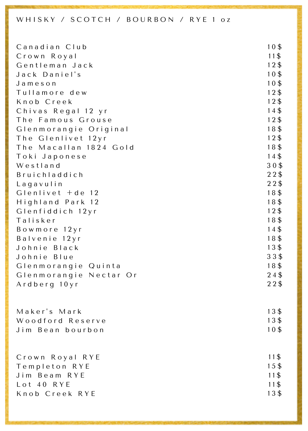#### WHISKY / SCOTCH / BOURBON / RYE 1 oz

| Canadian Club          | 10\$  |
|------------------------|-------|
| Crown Royal            | $11\$ |
| Gentleman Jack         | $12\$ |
| Jack Daniel's          | 10\$  |
| Jameson                | 10\$  |
| Tullamore dew          | $12\$ |
| Knob Creek             | $12\$ |
| Chivas Regal 12 yr     | 14\$  |
| The Famous Grouse      | $12\$ |
| Glenmorangie Original  | 18\$  |
| The Glenlivet 12yr     | 12\$  |
| The Macallan 1824 Gold | 18\$  |
| Toki Japonese          | 14\$  |
| Westland               | 30\$  |
| Bruichladdich          | 22\$  |
| Lagavulin              | $22\$ |
| $Glenlivet + de 12$    | 18\$  |
| Highland Park 12       | 18\$  |
| Glenfiddich 12yr       | $12\$ |
| Talisker               | 18\$  |
| Bowmore 12yr           | 14\$  |
| Balvenie 12yr          | 18\$  |
| Johnie Black           | 13\$  |
| Johnie Blue            | $33\$ |
| Glenmorangie Quinta    | 18\$  |
| Glenmorangie Nectar Or | $24\$ |
| Ardberg 10yr           | $22\$ |
|                        |       |
| Maker's Mark           | 13\$  |
| Woodford Reserve       | 13\$  |
| Jim Bean bourbon       | 10\$  |
|                        |       |
|                        |       |
| Crown Royal RYE        | 11\$  |
| Templeton RYE          | 15\$  |
| Jim Beam RYE           | $11\$ |
| Lot 40 RYE             | 11\$  |
| Knob Creek RYE         | 13\$  |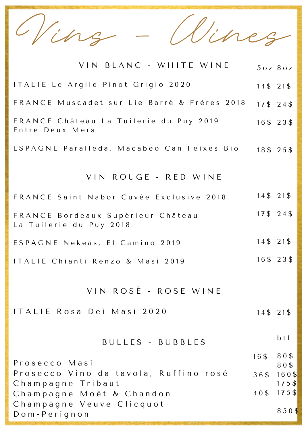Vins - Wines

| VIN BLANC - WHITE WINE                                       |                 | 50Z 80Z              |
|--------------------------------------------------------------|-----------------|----------------------|
| ITALIE Le Argile Pinot Grigio 2020                           | 14\$ 21\$       |                      |
| FRANCE Muscadet sur Lie Barré & Frères 2018                  | 17\$ 24\$       |                      |
| FRANCE Château La Tuilerie du Puy 2019<br>Entre Deux Mers    |                 | 16\$ 23\$            |
| ESPAGNE Paralleda, Macabeo Can Feixes Bio                    |                 | 18\$ 25\$            |
| VIN ROUGE - RED WINE                                         |                 |                      |
| FRANCE Saint Nabor Cuvée Exclusive 2018                      | 14\$ 21\$       |                      |
| FRANCE Bordeaux Supérieur Château<br>La Tuilerie du Puy 2018 | 17\$ 24\$       |                      |
| ESPAGNE Nekeas, El Camino 2019                               | 14\$ 21\$       |                      |
| ITALIE Chianti Renzo & Masi 2019                             |                 | 16\$ 23\$            |
| VIN ROSÉ - ROSE WINE                                         |                 |                      |
| ITALIE Rosa Dei Masi 2020                                    | 14\$ 21\$       |                      |
| BULLES - BUBBLES                                             |                 | b <sub>t</sub>       |
| Prosecco Masi                                                | 16\$            | 80\$<br>80\$         |
| Prosecco Vino da tavola, Ruffino rosé                        | 36\$            | $160$ \$             |
| Champagne Tribaut<br>Champagne Moët & Chandon                | $40\frac{4}{3}$ | $175$ \$<br>$175$ \$ |
| Champagne Veuve Clicquot<br>Dom-Perignon                     |                 | 850\$                |